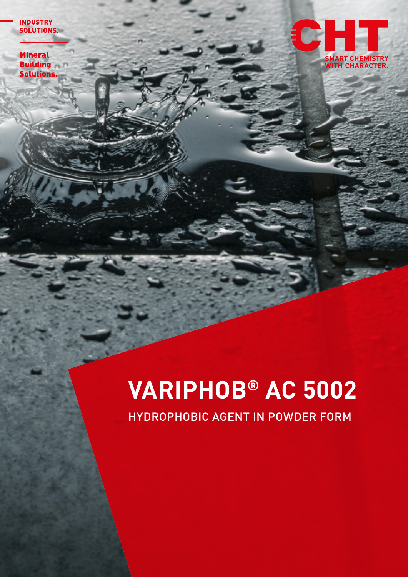**INDUSTRY** SOLUTIONS.

**Mineral Building Solutions.** 



# **VARIPHOB® AC 5002**

HYDROPHOBIC AGENT IN POWDER FORM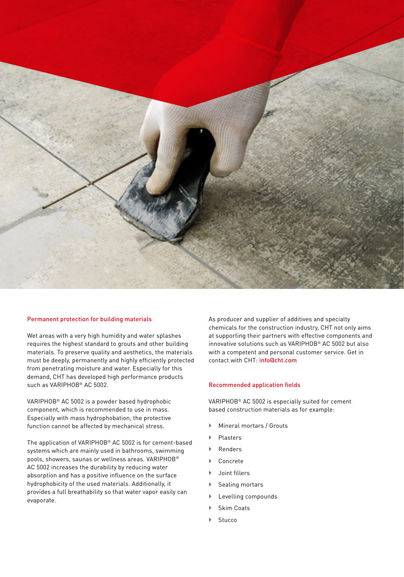

#### Permanent protection for building materials

Wet areas with a very high humidity and water splashes requires the highest standard to grouts and other building materials. To preserve quality and aesthetics, the materials must be deeply, permanently and highly efficiently protected from penetrating moisture and water. Especially for this demand, CHT has developed high performance products such as VARIPHOB® AC 5002.

VARIPHOB® AC 5002 is a powder based hydrophobic component, which is recommended to use in mass. Especially with mass hydrophobation, the protective function cannot be affected by mechanical stress.

The application of VARIPHOB® AC 5002 is for cement-based systems which are mainly used in bathrooms, swimming pools, showers, saunas or wellness areas. VARIPHOB® AC 5002 increases the durability by reducing water absorption and has a positive influence on the surface hydrophobicity of the used materials. Additionally, it provides a full breathability so that water vapor easily can evaporate.

As producer and supplier of additives and specialty chemicals for the construction industry, CHT not only aims at supporting their partners with effective components and innovative solutions such as VARIPHOB® AC 5002 but also with a competent and personal customer service. Get in contact with CHT: info@cht.com

#### Recommended application fields

VARIPHOB® AC 5002 is especially suited for cement based construction materials as for example:

- ` Mineral mortars / Grouts
- ` Plasters
- $\blacktriangleright$  Renders
- **Concrete**
- ` Joint fillers
- Sealing mortars
- Levelling compounds
- Skim Coats
- **Stucco**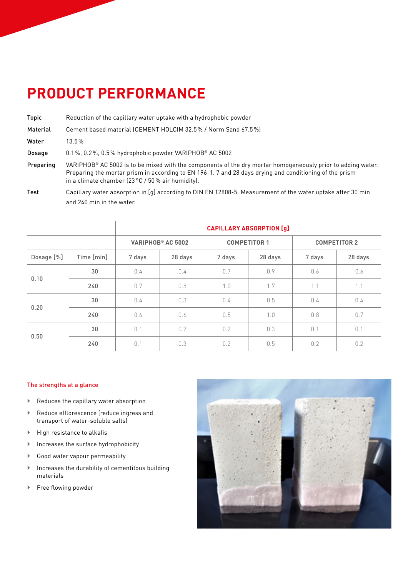## **PRODUCT PERFORMANCE**

- Topic Reduction of the capillary water uptake with a hydrophobic powder
- Material Cement based material (CEMENT HOLCIM 32.5% / Norm Sand 67.5%)

Water 13.5 %

Dosage 0.1 %, 0.2 %, 0.5 % hydrophobic powder VARIPHOB® AC 5002

- Preparing VARIPHOB® AC 5002 is to be mixed with the components of the dry mortar homogeneously prior to adding water. Preparing the mortar prism in according to EN 196-1. 7 and 28 days drying and conditioning of the prism in a climate chamber (23 °C / 50 % air humidity).
- Test Capillary water absorption in [g] according to DIN EN 12808-5. Measurement of the water uptake after 30 min and 240 min in the water.

|            |            | <b>CAPILLARY ABSORPTION [g]</b> |         |                     |         |                     |         |
|------------|------------|---------------------------------|---------|---------------------|---------|---------------------|---------|
|            |            | VARIPHOB <sup>®</sup> AC 5002   |         | <b>COMPETITOR 1</b> |         | <b>COMPETITOR 2</b> |         |
| Dosage [%] | Time [min] | 7 days                          | 28 days | 7 days              | 28 days | 7 days              | 28 days |
| 0.10       | 30         | 0.4                             | 0.4     | 0.7                 | 0.9     | 0.6                 | 0.6     |
|            | 240        | 0.7                             | 0.8     | 1.0                 | 1.7     | 1.1                 | 1.1     |
| 0.20       | 30         | 0.4                             | 0.3     | 0.4                 | 0.5     | 0.4                 | 0.4     |
|            | 240        | 0.6                             | 0.6     | 0.5                 | 1.0     | 0.8                 | 0.7     |
| 0.50       | 30         | 0.1                             | 0.2     | 0.2                 | 0.3     | 0.1                 | 0.1     |
|            | 240        | 0.1                             | 0.3     | 0.2                 | 0.5     | 0.2                 | 0.2     |

### The strengths at a glance

- $\blacktriangleright$  Reduces the capillary water absorption
- $\blacktriangleright$  Reduce efflorescence (reduce ingress and transport of water-soluble salts)
- $\blacktriangleright$  High resistance to alkalis
- $\blacktriangleright$  Increases the surface hydrophobicity
- ` Good water vapour permeability
- $\blacktriangleright$  Increases the durability of cementitous building materials
- Free flowing powder